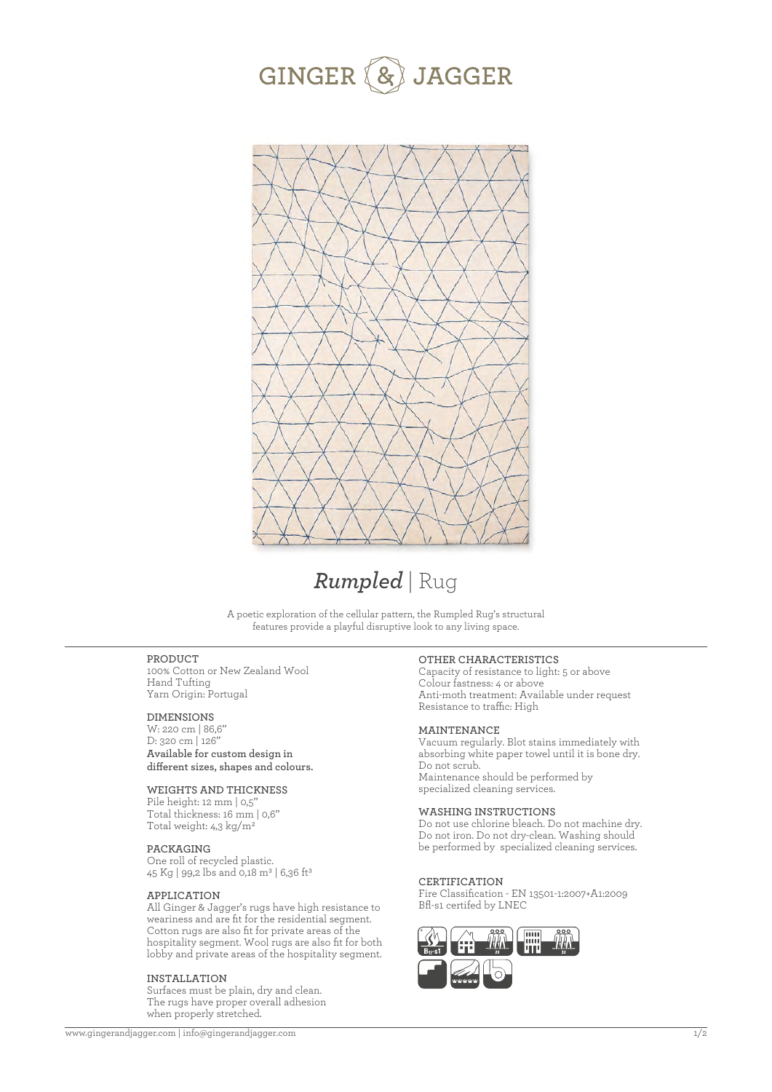



# *Rumpled* | Rug

A poetic exploration of the cellular pattern, the Rumpled Rug's structural features provide a playful disruptive look to any living space.

## **PRODUCT**

100% Cotton or New Zealand Wool Hand Tufting Yarn Origin: Portugal

## **DIMENSIONS**

W: 220 cm | 86,6'' D: 320 cm | 126'' **Available for custom design in**  different sizes, shapes and colours.

## **WEIGHTS AND THICKNESS**

Pile height: 12 mm | 0,5' Total thickness: 16 mm | 0,6'' Total weight: 4,3 kg/m2

## **PACKAGING**

One roll of recycled plastic. 45 Kg | 99,2 lbs and 0,18 m<sup>3</sup> | 6,36 ft<sup>3</sup>

#### **APPLICATION**

All Ginger & Jagger's rugs have high resistance to weariness and are fit for the residential segment. Cotton rugs are also fit for private areas of the hospitality segment. Wool rugs are also fit for both lobby and private areas of the hospitality segment.

#### **INSTALLATION**

Surfaces must be plain, dry and clean. The rugs have proper overall adhesion when properly stretched.

### **OTHER CHARACTERISTICS**

Capacity of resistance to light: 5 or above Colour fastness: 4 or above Anti-moth treatment: Available under request Resistance to traffic: High

## **MAINTENANCE**

Vacuum regularly. Blot stains immediately with absorbing white paper towel until it is bone dry. Do not scrub. Maintenance should be performed by specialized cleaning services.

## **WASHING INSTRUCTIONS**

Do not use chlorine bleach. Do not machine dry. Do not iron. Do not dry-clean. Washing should be performed by specialized cleaning services.

#### **CERTIFICATION**

Fire Classification - EN 13501-1:2007+A1:2009 Bfl-s1 certifed by LNEC